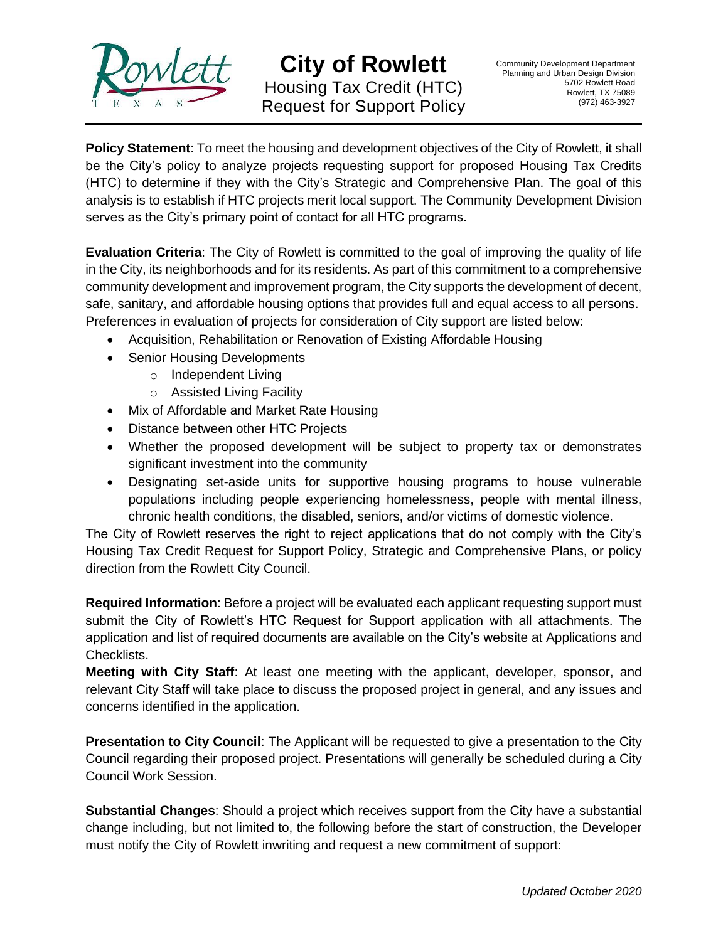

**City of Rowlett** Housing Tax Credit (HTC) Request for Support Policy

**Policy Statement**: To meet the housing and development objectives of the City of Rowlett, it shall be the City's policy to analyze projects requesting support for proposed Housing Tax Credits (HTC) to determine if they with the City's Strategic and Comprehensive Plan. The goal of this analysis is to establish if HTC projects merit local support. The Community Development Division serves as the City's primary point of contact for all HTC programs.

**Evaluation Criteria**: The City of Rowlett is committed to the goal of improving the quality of life in the City, its neighborhoods and for its residents. As part of this commitment to a comprehensive community development and improvement program, the City supports the development of decent, safe, sanitary, and affordable housing options that provides full and equal access to all persons. Preferences in evaluation of projects for consideration of City support are listed below:

- Acquisition, Rehabilitation or Renovation of Existing Affordable Housing
- Senior Housing Developments
	- o Independent Living
	- o Assisted Living Facility
- Mix of Affordable and Market Rate Housing
- Distance between other HTC Projects
- Whether the proposed development will be subject to property tax or demonstrates significant investment into the community
- Designating set-aside units for supportive housing programs to house vulnerable populations including people experiencing homelessness, people with mental illness, chronic health conditions, the disabled, seniors, and/or victims of domestic violence.

The City of Rowlett reserves the right to reject applications that do not comply with the City's Housing Tax Credit Request for Support Policy, Strategic and Comprehensive Plans, or policy direction from the Rowlett City Council.

**Required Information**: Before a project will be evaluated each applicant requesting support must submit the City of Rowlett's HTC Request for Support application with all attachments. The application and list of required documents are available on the City's website at Applications and Checklists.

**Meeting with City Staff**: At least one meeting with the applicant, developer, sponsor, and relevant City Staff will take place to discuss the proposed project in general, and any issues and concerns identified in the application.

**Presentation to City Council**: The Applicant will be requested to give a presentation to the City Council regarding their proposed project. Presentations will generally be scheduled during a City Council Work Session.

**Substantial Changes**: Should a project which receives support from the City have a substantial change including, but not limited to, the following before the start of construction, the Developer must notify the City of Rowlett inwriting and request a new commitment of support: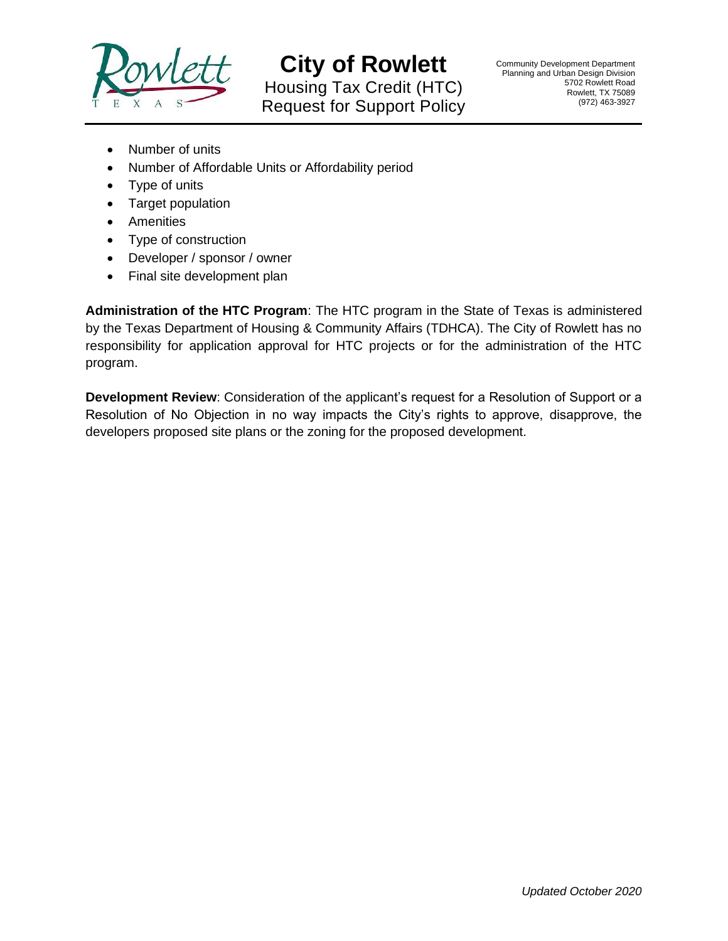

**City of Rowlett** Housing Tax Credit (HTC) Request for Support Policy

- Number of units
- Number of Affordable Units or Affordability period
- Type of units
- Target population
- Amenities
- Type of construction
- Developer / sponsor / owner
- Final site development plan

**Administration of the HTC Program**: The HTC program in the State of Texas is administered by the Texas Department of Housing & Community Affairs (TDHCA). The City of Rowlett has no responsibility for application approval for HTC projects or for the administration of the HTC program.

**Development Review**: Consideration of the applicant's request for a Resolution of Support or a Resolution of No Objection in no way impacts the City's rights to approve, disapprove, the developers proposed site plans or the zoning for the proposed development.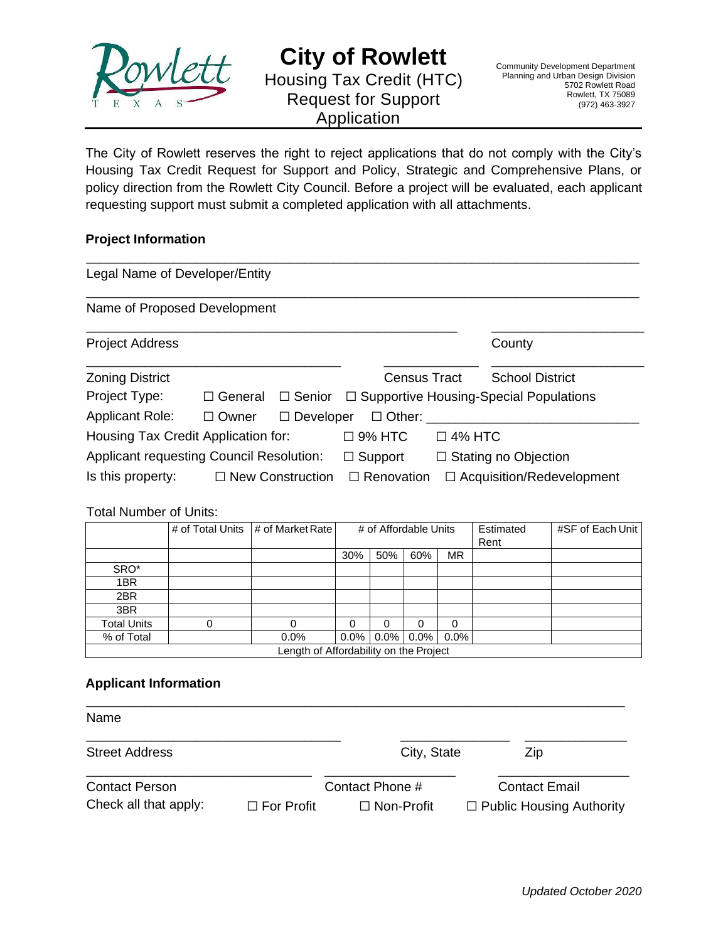

# **City of Rowlett** Housing Tax Credit (HTC) Request for Support Application

The City of Rowlett reserves the right to reject applications that do not comply with the City's Housing Tax Credit Request for Support and Policy, Strategic and Comprehensive Plans, or policy direction from the Rowlett City Council. Before a project will be evaluated, each applicant requesting support must submit a completed application with all attachments.

### **Project Information**

| Legal Name of Developer/Entity                  |                |                         |                             |  |                                               |  |
|-------------------------------------------------|----------------|-------------------------|-----------------------------|--|-----------------------------------------------|--|
| Name of Proposed Development                    |                |                         |                             |  |                                               |  |
| <b>Project Address</b>                          |                |                         |                             |  | County                                        |  |
| <b>Zoning District</b>                          |                |                         | <b>Census Tract</b>         |  | <b>School District</b>                        |  |
| Project Type:                                   | $\Box$ General | $\Box$ Senior           |                             |  | $\Box$ Supportive Housing-Special Populations |  |
| <b>Applicant Role:</b>                          | $\Box$ Owner   | $\Box$ Developer        | $\Box$ Other:               |  |                                               |  |
| Housing Tax Credit Application for:             |                |                         | $\Box$ 9% HTC               |  | $\Box$ 4% HTC                                 |  |
| <b>Applicant requesting Council Resolution:</b> |                | $\Box$ Support          | $\Box$ Stating no Objection |  |                                               |  |
| Is this property:                               |                | $\Box$ New Construction | $\Box$ Renovation           |  | $\Box$ Acquisition/Redevelopment              |  |

### Total Number of Units:

|                                        |   | # of Total Units # of Market Rate | # of Affordable Units |     |              |           | Estimated<br>Rent | #SF of Each Unit |
|----------------------------------------|---|-----------------------------------|-----------------------|-----|--------------|-----------|-------------------|------------------|
|                                        |   |                                   | 30%                   | 50% | 60%          | <b>MR</b> |                   |                  |
| SRO*                                   |   |                                   |                       |     |              |           |                   |                  |
| 1BR                                    |   |                                   |                       |     |              |           |                   |                  |
| 2BR                                    |   |                                   |                       |     |              |           |                   |                  |
| 3BR                                    |   |                                   |                       |     |              |           |                   |                  |
| <b>Total Units</b>                     | 0 |                                   | 0                     | 0   |              | 0         |                   |                  |
| % of Total                             |   | 0.0%                              | $0.0\%$               |     | $0.0\%$ 0.0% | $0.0\%$   |                   |                  |
| Length of Affordability on the Project |   |                                   |                       |     |              |           |                   |                  |

### **Applicant Information**

| Name                                           |                   |                                      |                                                         |
|------------------------------------------------|-------------------|--------------------------------------|---------------------------------------------------------|
| <b>Street Address</b>                          |                   | City, State                          | Zip                                                     |
| <b>Contact Person</b><br>Check all that apply: | $\Box$ For Profit | Contact Phone #<br>$\Box$ Non-Profit | <b>Contact Email</b><br>$\Box$ Public Housing Authority |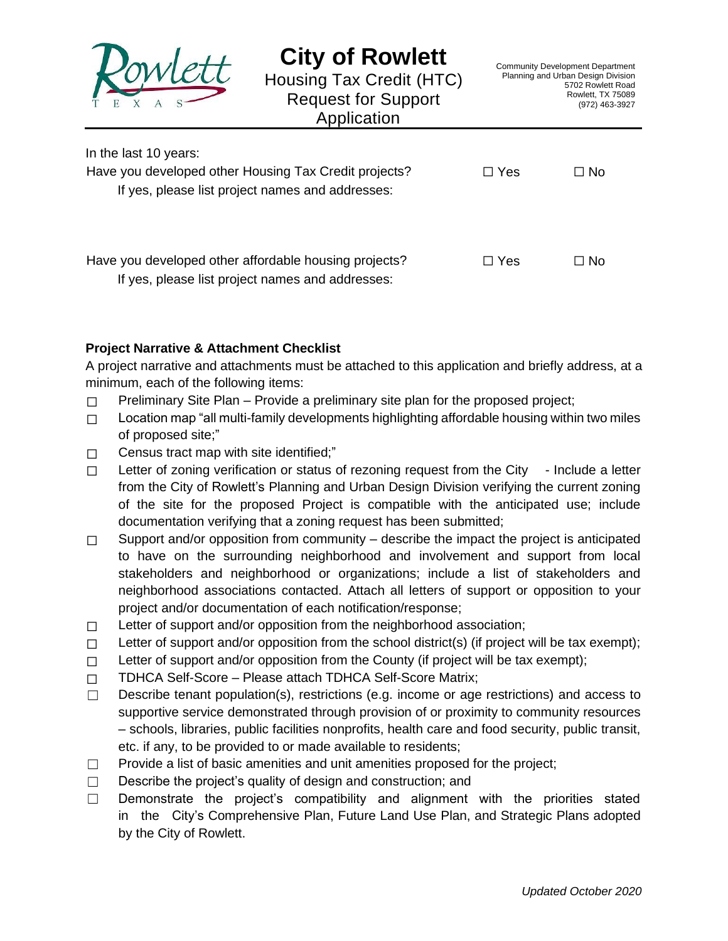

In the last 10 years:

# **City of Rowlett**

Housing Tax Credit (HTC) Request for Support Application

| <b>III LIIU IUJI TU VUULJ.</b>                        |            |           |
|-------------------------------------------------------|------------|-----------|
| Have you developed other Housing Tax Credit projects? | $\Box$ Yes | $\Box$ No |
| If yes, please list project names and addresses:      |            |           |
|                                                       |            |           |
|                                                       |            |           |
| Have you developed other affordable housing projects? | $\Box$ Yes | $\Box$ No |
|                                                       |            |           |
| If yoo plonge list project names and addresses        |            |           |

If yes, please list project names and addresses:

## **Project Narrative & Attachment Checklist**

A project narrative and attachments must be attached to this application and briefly address, at a minimum, each of the following items:

- $\Box$  Preliminary Site Plan Provide a preliminary site plan for the proposed project;
- □ Location map "all multi-family developments highlighting affordable housing within two miles of proposed site;"
- $\Box$  Census tract map with site identified;"
- □ Letter of zoning verification or status of rezoning request from the City Include a letter from the City of Rowlett's Planning and Urban Design Division verifying the current zoning of the site for the proposed Project is compatible with the anticipated use; include documentation verifying that a zoning request has been submitted;
- $\Box$  Support and/or opposition from community describe the impact the project is anticipated to have on the surrounding neighborhood and involvement and support from local stakeholders and neighborhood or organizations; include a list of stakeholders and neighborhood associations contacted. Attach all letters of support or opposition to your project and/or documentation of each notification/response;
- □ Letter of support and/or opposition from the neighborhood association;
- $\Box$  Letter of support and/or opposition from the school district(s) (if project will be tax exempt);
- $\Box$  Letter of support and/or opposition from the County (if project will be tax exempt);
- ☐ TDHCA Self-Score Please attach TDHCA Self-Score Matrix;
- $\Box$  Describe tenant population(s), restrictions (e.g. income or age restrictions) and access to supportive service demonstrated through provision of or proximity to community resources – schools, libraries, public facilities nonprofits, health care and food security, public transit, etc. if any, to be provided to or made available to residents;
- □ Provide a list of basic amenities and unit amenities proposed for the project;
- ☐ Describe the project's quality of design and construction; and
- $\Box$  Demonstrate the project's compatibility and alignment with the priorities stated in the City's Comprehensive Plan, Future Land Use Plan, and Strategic Plans adopted by the City of Rowlett.